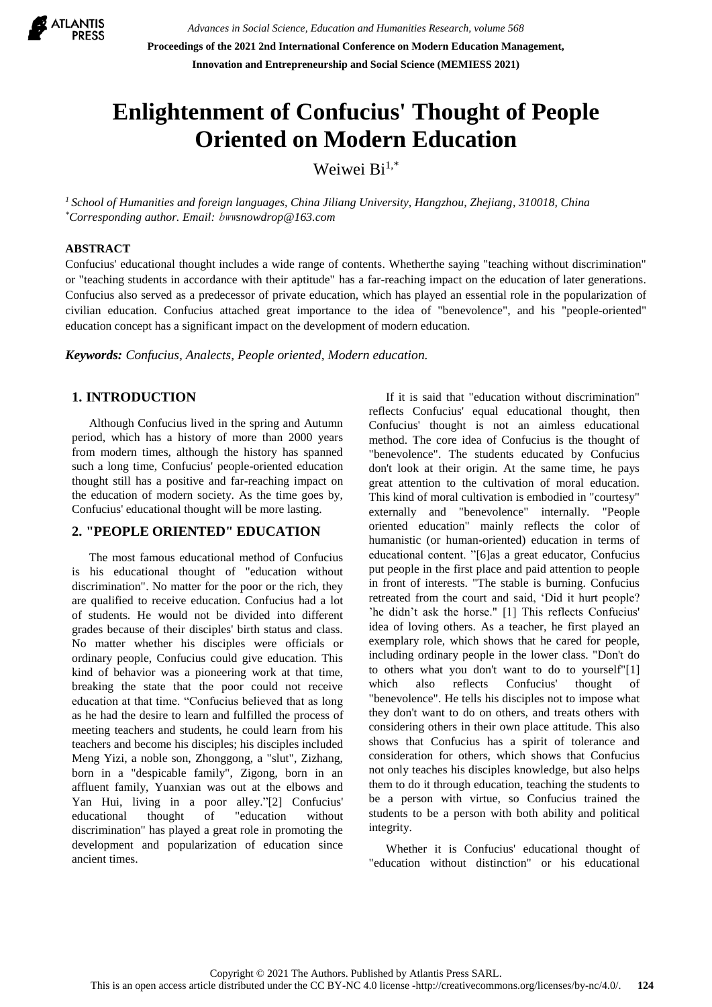

# **Enlightenment of Confucius' Thought of People Oriented on Modern Education**

Weiwei Bi<sup>1,\*</sup>

*<sup>1</sup> School of Humanities and foreign languages, China Jiliang University, Hangzhou, Zhejiang, 310018, China \*Corresponding author. Email:* bww*snowdrop@163.com*

### **ABSTRACT**

Confucius' educational thought includes a wide range of contents. Whetherthe saying "teaching without discrimination" or "teaching students in accordance with their aptitude" has a far-reaching impact on the education of later generations. Confucius also served as a predecessor of private education, which has played an essential role in the popularization of civilian education. Confucius attached great importance to the idea of "benevolence", and his "people-oriented" education concept has a significant impact on the development of modern education.

*Keywords: Confucius, Analects, People oriented, Modern education.*

## **1. INTRODUCTION**

Although Confucius lived in the spring and Autumn period, which has a history of more than 2000 years from modern times, although the history has spanned such a long time, Confucius' people-oriented education thought still has a positive and far-reaching impact on the education of modern society. As the time goes by, Confucius' educational thought will be more lasting.

## **2. "PEOPLE ORIENTED" EDUCATION**

The most famous educational method of Confucius is his educational thought of "education without discrimination". No matter for the poor or the rich, they are qualified to receive education. Confucius had a lot of students. He would not be divided into different grades because of their disciples' birth status and class. No matter whether his disciples were officials or ordinary people, Confucius could give education. This kind of behavior was a pioneering work at that time, breaking the state that the poor could not receive education at that time. "Confucius believed that as long as he had the desire to learn and fulfilled the process of meeting teachers and students, he could learn from his teachers and become his disciples; his disciples included Meng Yizi, a noble son, Zhonggong, a "slut", Zizhang, born in a "despicable family", Zigong, born in an affluent family, Yuanxian was out at the elbows and Yan Hui, living in a poor alley."[2] Confucius' educational thought of "education without discrimination" has played a great role in promoting the development and popularization of education since ancient times.

If it is said that "education without discrimination" reflects Confucius' equal educational thought, then Confucius' thought is not an aimless educational method. The core idea of Confucius is the thought of "benevolence". The students educated by Confucius don't look at their origin. At the same time, he pays great attention to the cultivation of moral education. This kind of moral cultivation is embodied in "courtesy" externally and "benevolence" internally. "People oriented education" mainly reflects the color of humanistic (or human-oriented) education in terms of educational content. "[6]as a great educator, Confucius put people in the first place and paid attention to people in front of interests. "The stable is burning. Confucius retreated from the court and said, 'Did it hurt people? 'he didn't ask the horse." [1] This reflects Confucius' idea of loving others. As a teacher, he first played an exemplary role, which shows that he cared for people, including ordinary people in the lower class. "Don't do to others what you don't want to do to yourself"[1] which also reflects Confucius' thought of "benevolence". He tells his disciples not to impose what they don't want to do on others, and treats others with considering others in their own place attitude. This also shows that Confucius has a spirit of tolerance and consideration for others, which shows that Confucius not only teaches his disciples knowledge, but also helps them to do it through education, teaching the students to be a person with virtue, so Confucius trained the students to be a person with both ability and political integrity.

Whether it is Confucius' educational thought of "education without distinction" or his educational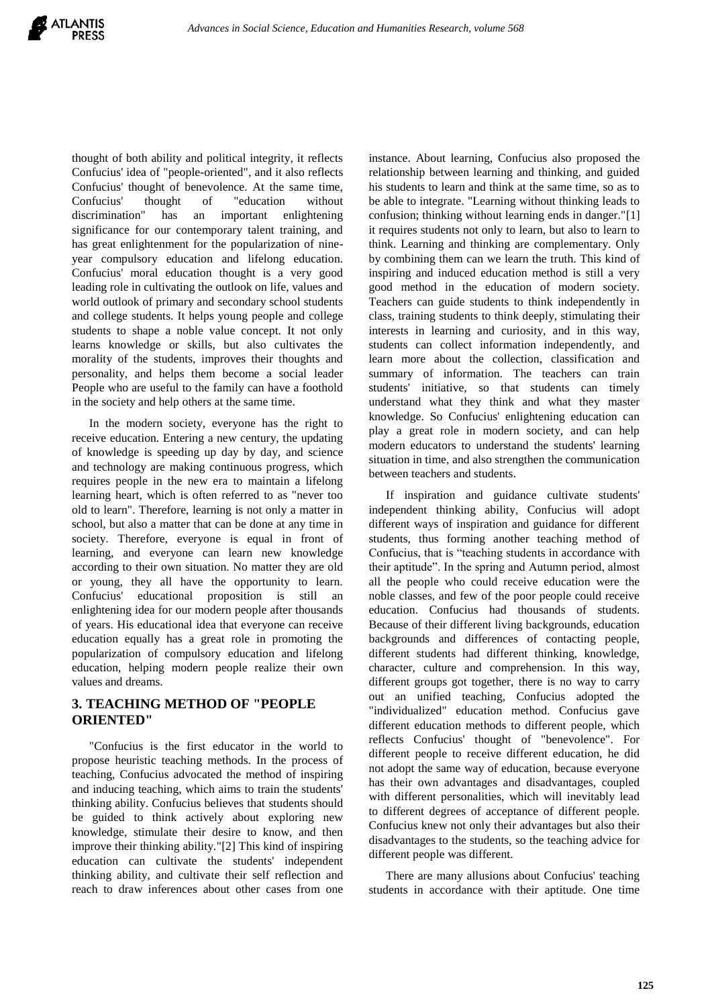thought of both ability and political integrity, it reflects Confucius' idea of "people-oriented", and it also reflects Confucius' thought of benevolence. At the same time, Confucius' thought of "education without discrimination" has an important enlightening significance for our contemporary talent training, and has great enlightenment for the popularization of nineyear compulsory education and lifelong education. Confucius' moral education thought is a very good leading role in cultivating the outlook on life, values and world outlook of primary and secondary school students and college students. It helps young people and college students to shape a noble value concept. It not only learns knowledge or skills, but also cultivates the morality of the students, improves their thoughts and personality, and helps them become a social leader People who are useful to the family can have a foothold in the society and help others at the same time.

In the modern society, everyone has the right to receive education. Entering a new century, the updating of knowledge is speeding up day by day, and science and technology are making continuous progress, which requires people in the new era to maintain a lifelong learning heart, which is often referred to as "never too old to learn". Therefore, learning is not only a matter in school, but also a matter that can be done at any time in society. Therefore, everyone is equal in front of learning, and everyone can learn new knowledge according to their own situation. No matter they are old or young, they all have the opportunity to learn. Confucius' educational proposition is still an enlightening idea for our modern people after thousands of years. His educational idea that everyone can receive education equally has a great role in promoting the popularization of compulsory education and lifelong education, helping modern people realize their own values and dreams.

# **3. TEACHING METHOD OF "PEOPLE ORIENTED"**

"Confucius is the first educator in the world to propose heuristic teaching methods. In the process of teaching, Confucius advocated the method of inspiring and inducing teaching, which aims to train the students' thinking ability. Confucius believes that students should be guided to think actively about exploring new knowledge, stimulate their desire to know, and then improve their thinking ability."[2] This kind of inspiring education can cultivate the students' independent thinking ability, and cultivate their self reflection and reach to draw inferences about other cases from one instance. About learning, Confucius also proposed the relationship between learning and thinking, and guided his students to learn and think at the same time, so as to be able to integrate. "Learning without thinking leads to confusion; thinking without learning ends in danger."[1] it requires students not only to learn, but also to learn to think. Learning and thinking are complementary. Only by combining them can we learn the truth. This kind of inspiring and induced education method is still a very good method in the education of modern society. Teachers can guide students to think independently in class, training students to think deeply, stimulating their interests in learning and curiosity, and in this way, students can collect information independently, and learn more about the collection, classification and summary of information. The teachers can train students' initiative, so that students can timely understand what they think and what they master knowledge. So Confucius' enlightening education can play a great role in modern society, and can help modern educators to understand the students' learning situation in time, and also strengthen the communication between teachers and students.

If inspiration and guidance cultivate students' independent thinking ability, Confucius will adopt different ways of inspiration and guidance for different students, thus forming another teaching method of Confucius, that is "teaching students in accordance with their aptitude". In the spring and Autumn period, almost all the people who could receive education were the noble classes, and few of the poor people could receive education. Confucius had thousands of students. Because of their different living backgrounds, education backgrounds and differences of contacting people, different students had different thinking, knowledge, character, culture and comprehension. In this way, different groups got together, there is no way to carry out an unified teaching, Confucius adopted the "individualized" education method. Confucius gave different education methods to different people, which reflects Confucius' thought of "benevolence". For different people to receive different education, he did not adopt the same way of education, because everyone has their own advantages and disadvantages, coupled with different personalities, which will inevitably lead to different degrees of acceptance of different people. Confucius knew not only their advantages but also their disadvantages to the students, so the teaching advice for different people was different.

There are many allusions about Confucius' teaching students in accordance with their aptitude. One time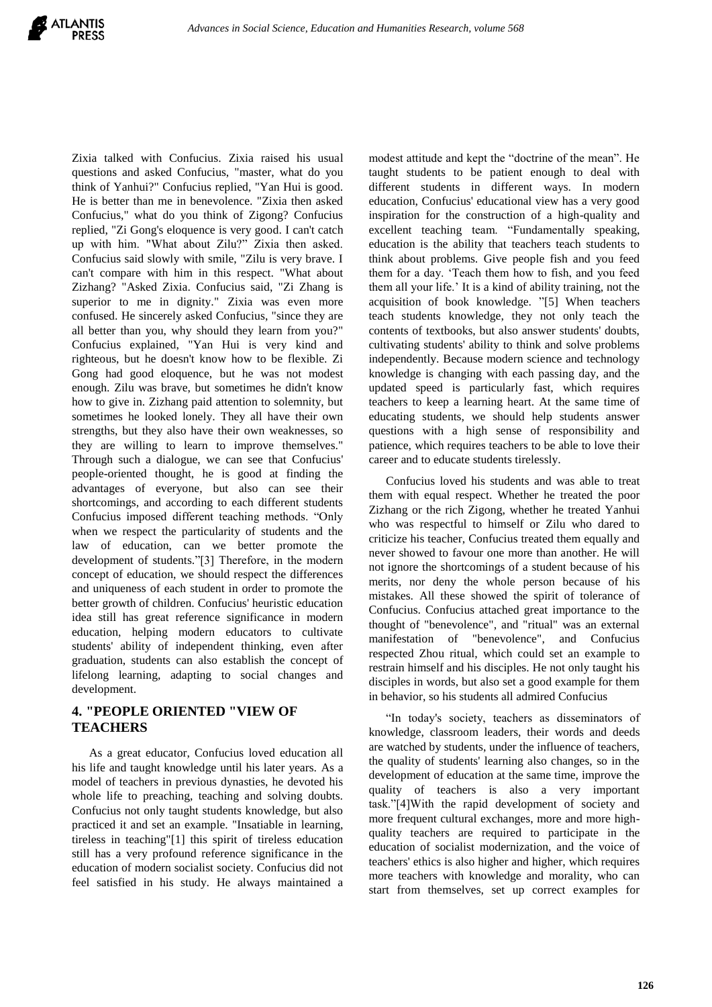questions and asked Confucius, "master, what do you think of Yanhui?" Confucius replied, "Yan Hui is good. He is better than me in benevolence. "Zixia then asked Confucius," what do you think of Zigong? Confucius replied, "Zi Gong's eloquence is very good. I can't catch up with him. "What about Zilu?" Zixia then asked. Confucius said slowly with smile, "Zilu is very brave. I can't compare with him in this respect. "What about Zizhang? "Asked Zixia. Confucius said, "Zi Zhang is superior to me in dignity." Zixia was even more confused. He sincerely asked Confucius, "since they are all better than you, why should they learn from you?" Confucius explained, "Yan Hui is very kind and righteous, but he doesn't know how to be flexible. Zi Gong had good eloquence, but he was not modest enough. Zilu was brave, but sometimes he didn't know how to give in. Zizhang paid attention to solemnity, but sometimes he looked lonely. They all have their own strengths, but they also have their own weaknesses, so they are willing to learn to improve themselves." Through such a dialogue, we can see that Confucius' people-oriented thought, he is good at finding the advantages of everyone, but also can see their shortcomings, and according to each different students Confucius imposed different teaching methods. "Only when we respect the particularity of students and the law of education, can we better promote the development of students."[3] Therefore, in the modern concept of education, we should respect the differences and uniqueness of each student in order to promote the better growth of children. Confucius' heuristic education idea still has great reference significance in modern education, helping modern educators to cultivate students' ability of independent thinking, even after graduation, students can also establish the concept of lifelong learning, adapting to social changes and development.

Zixia talked with Confucius. Zixia raised his usual

## **4. "PEOPLE ORIENTED "VIEW OF TEACHERS**

As a great educator, Confucius loved education all his life and taught knowledge until his later years. As a model of teachers in previous dynasties, he devoted his whole life to preaching, teaching and solving doubts. Confucius not only taught students knowledge, but also practiced it and set an example. "Insatiable in learning, tireless in teaching"[1] this spirit of tireless education still has a very profound reference significance in the education of modern socialist society. Confucius did not feel satisfied in his study. He always maintained a modest attitude and kept the "doctrine of the mean". He taught students to be patient enough to deal with different students in different ways. In modern education, Confucius' educational view has a very good inspiration for the construction of a high-quality and excellent teaching team. "Fundamentally speaking, education is the ability that teachers teach students to think about problems. Give people fish and you feed them for a day. 'Teach them how to fish, and you feed them all your life.' It is a kind of ability training, not the acquisition of book knowledge. "[5] When teachers teach students knowledge, they not only teach the contents of textbooks, but also answer students' doubts, cultivating students' ability to think and solve problems independently. Because modern science and technology knowledge is changing with each passing day, and the updated speed is particularly fast, which requires teachers to keep a learning heart. At the same time of educating students, we should help students answer questions with a high sense of responsibility and patience, which requires teachers to be able to love their career and to educate students tirelessly.

Confucius loved his students and was able to treat them with equal respect. Whether he treated the poor Zizhang or the rich Zigong, whether he treated Yanhui who was respectful to himself or Zilu who dared to criticize his teacher, Confucius treated them equally and never showed to favour one more than another. He will not ignore the shortcomings of a student because of his merits, nor deny the whole person because of his mistakes. All these showed the spirit of tolerance of Confucius. Confucius attached great importance to the thought of "benevolence", and "ritual" was an external manifestation of "benevolence", and Confucius respected Zhou ritual, which could set an example to restrain himself and his disciples. He not only taught his disciples in words, but also set a good example for them in behavior, so his students all admired Confucius

"In today's society, teachers as disseminators of knowledge, classroom leaders, their words and deeds are watched by students, under the influence of teachers, the quality of students' learning also changes, so in the development of education at the same time, improve the quality of teachers is also a very important task."[4]With the rapid development of society and more frequent cultural exchanges, more and more highquality teachers are required to participate in the education of socialist modernization, and the voice of teachers' ethics is also higher and higher, which requires more teachers with knowledge and morality, who can start from themselves, set up correct examples for